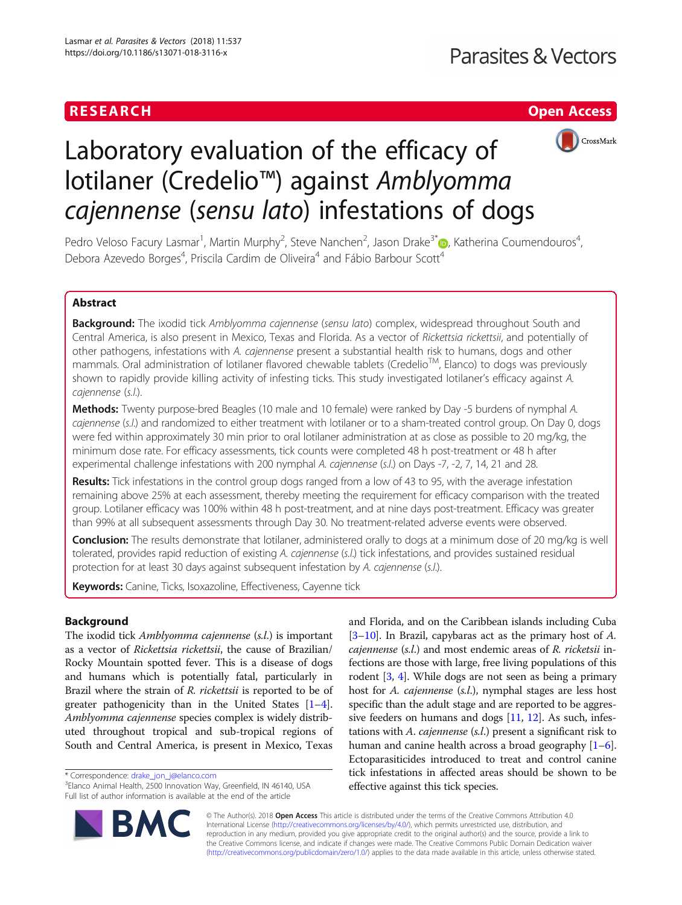## **RESEARCH CHE Open Access**



# Laboratory evaluation of the efficacy of lotilaner (Credelio™) against Amblyomma cajennense (sensu lato) infestations of dogs

Pedro Veloso Facury Lasmar<sup>1</sup>[,](http://orcid.org/0000-0001-6203-0852) Martin Murphy<sup>2</sup>, Steve Nanchen<sup>2</sup>, Jason Drake<sup>3\*</sup> D, Katherina Coumendouros<sup>4</sup> , Debora Azevedo Borges<sup>4</sup>, Priscila Cardim de Oliveira<sup>4</sup> and Fábio Barbour Scott<sup>4</sup>

## Abstract

Background: The ixodid tick Amblyomma cajennense (sensu lato) complex, widespread throughout South and Central America, is also present in Mexico, Texas and Florida. As a vector of Rickettsia rickettsii, and potentially of other pathogens, infestations with A. cajennense present a substantial health risk to humans, dogs and other mammals. Oral administration of lotilaner flavored chewable tablets (Credelio<sup>TM</sup>, Elanco) to dogs was previously shown to rapidly provide killing activity of infesting ticks. This study investigated lotilaner's efficacy against A. cajennense (s.l.).

Methods: Twenty purpose-bred Beagles (10 male and 10 female) were ranked by Day -5 burdens of nymphal A. cajennense (s.l.) and randomized to either treatment with lotilaner or to a sham-treated control group. On Day 0, dogs were fed within approximately 30 min prior to oral lotilaner administration at as close as possible to 20 mg/kg, the minimum dose rate. For efficacy assessments, tick counts were completed 48 h post-treatment or 48 h after experimental challenge infestations with 200 nymphal A. cajennense (s.l.) on Days -7, -2, 7, 14, 21 and 28.

Results: Tick infestations in the control group dogs ranged from a low of 43 to 95, with the average infestation remaining above 25% at each assessment, thereby meeting the requirement for efficacy comparison with the treated group. Lotilaner efficacy was 100% within 48 h post-treatment, and at nine days post-treatment. Efficacy was greater than 99% at all subsequent assessments through Day 30. No treatment-related adverse events were observed.

Conclusion: The results demonstrate that lotilaner, administered orally to dogs at a minimum dose of 20 mg/kg is well tolerated, provides rapid reduction of existing A. cajennense (s.l.) tick infestations, and provides sustained residual protection for at least 30 days against subsequent infestation by A. cajennense (s.l.).

Keywords: Canine, Ticks, Isoxazoline, Effectiveness, Cayenne tick

## Background

The ixodid tick Amblyomma cajennense (s.l.) is important as a vector of Rickettsia rickettsii, the cause of Brazilian/ Rocky Mountain spotted fever. This is a disease of dogs and humans which is potentially fatal, particularly in Brazil where the strain of R. *rickettsii* is reported to be of greater pathogenicity than in the United States [[1](#page-4-0)–[4](#page-4-0)]. Amblyomma cajennense species complex is widely distributed throughout tropical and sub-tropical regions of South and Central America, is present in Mexico, Texas

\* Correspondence: [drake\\_jon\\_j@elanco.com](mailto:drake_jon_j@elanco.com) <sup>3</sup>

<sup>&</sup>lt;sup>3</sup> Elanco Animal Health, 2500 Innovation Way, Greenfield, IN 46140, USA Full list of author information is available at the end of the article



© The Author(s). 2018 Open Access This article is distributed under the terms of the Creative Commons Attribution 4.0 International License [\(http://creativecommons.org/licenses/by/4.0/](http://creativecommons.org/licenses/by/4.0/)), which permits unrestricted use, distribution, and reproduction in any medium, provided you give appropriate credit to the original author(s) and the source, provide a link to the Creative Commons license, and indicate if changes were made. The Creative Commons Public Domain Dedication waiver [\(http://creativecommons.org/publicdomain/zero/1.0/](http://creativecommons.org/publicdomain/zero/1.0/)) applies to the data made available in this article, unless otherwise stated.

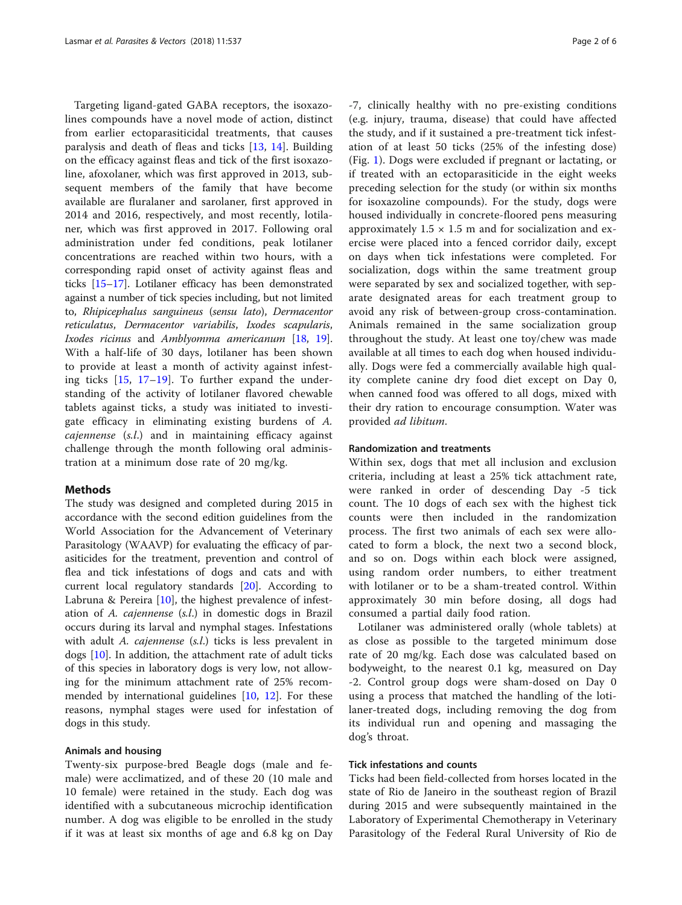Targeting ligand-gated GABA receptors, the isoxazolines compounds have a novel mode of action, distinct from earlier ectoparasiticidal treatments, that causes paralysis and death of fleas and ticks [[13,](#page-4-0) [14\]](#page-4-0). Building on the efficacy against fleas and tick of the first isoxazoline, afoxolaner, which was first approved in 2013, subsequent members of the family that have become available are fluralaner and sarolaner, first approved in 2014 and 2016, respectively, and most recently, lotilaner, which was first approved in 2017. Following oral administration under fed conditions, peak lotilaner concentrations are reached within two hours, with a corresponding rapid onset of activity against fleas and ticks [\[15](#page-4-0)–[17](#page-5-0)]. Lotilaner efficacy has been demonstrated against a number of tick species including, but not limited to, Rhipicephalus sanguineus (sensu lato), Dermacentor reticulatus, Dermacentor variabilis, Ixodes scapularis, Ixodes ricinus and Amblyomma americanum [\[18,](#page-5-0) [19](#page-5-0)]. With a half-life of 30 days, lotilaner has been shown to provide at least a month of activity against infesting ticks [[15,](#page-4-0) [17](#page-5-0)–[19](#page-5-0)]. To further expand the understanding of the activity of lotilaner flavored chewable tablets against ticks, a study was initiated to investigate efficacy in eliminating existing burdens of A. cajennense (s.l.) and in maintaining efficacy against challenge through the month following oral administration at a minimum dose rate of 20 mg/kg.

## **Methods**

The study was designed and completed during 2015 in accordance with the second edition guidelines from the World Association for the Advancement of Veterinary Parasitology (WAAVP) for evaluating the efficacy of parasiticides for the treatment, prevention and control of flea and tick infestations of dogs and cats and with current local regulatory standards [[20\]](#page-5-0). According to Labruna & Pereira [[10](#page-4-0)], the highest prevalence of infestation of A. cajennense (s.l.) in domestic dogs in Brazil occurs during its larval and nymphal stages. Infestations with adult A. *cajennense* (s.l.) ticks is less prevalent in dogs [\[10\]](#page-4-0). In addition, the attachment rate of adult ticks of this species in laboratory dogs is very low, not allowing for the minimum attachment rate of 25% recommended by international guidelines [\[10](#page-4-0), [12\]](#page-4-0). For these reasons, nymphal stages were used for infestation of dogs in this study.

#### Animals and housing

Twenty-six purpose-bred Beagle dogs (male and female) were acclimatized, and of these 20 (10 male and 10 female) were retained in the study. Each dog was identified with a subcutaneous microchip identification number. A dog was eligible to be enrolled in the study if it was at least six months of age and 6.8 kg on Day

-7, clinically healthy with no pre-existing conditions (e.g. injury, trauma, disease) that could have affected the study, and if it sustained a pre-treatment tick infestation of at least 50 ticks (25% of the infesting dose) (Fig. [1](#page-2-0)). Dogs were excluded if pregnant or lactating, or if treated with an ectoparasiticide in the eight weeks preceding selection for the study (or within six months for isoxazoline compounds). For the study, dogs were housed individually in concrete-floored pens measuring approximately  $1.5 \times 1.5$  m and for socialization and exercise were placed into a fenced corridor daily, except on days when tick infestations were completed. For socialization, dogs within the same treatment group were separated by sex and socialized together, with separate designated areas for each treatment group to avoid any risk of between-group cross-contamination. Animals remained in the same socialization group throughout the study. At least one toy/chew was made available at all times to each dog when housed individually. Dogs were fed a commercially available high quality complete canine dry food diet except on Day 0, when canned food was offered to all dogs, mixed with their dry ration to encourage consumption. Water was provided ad libitum.

## Randomization and treatments

Within sex, dogs that met all inclusion and exclusion criteria, including at least a 25% tick attachment rate, were ranked in order of descending Day -5 tick count. The 10 dogs of each sex with the highest tick counts were then included in the randomization process. The first two animals of each sex were allocated to form a block, the next two a second block, and so on. Dogs within each block were assigned, using random order numbers, to either treatment with lotilaner or to be a sham-treated control. Within approximately 30 min before dosing, all dogs had consumed a partial daily food ration.

Lotilaner was administered orally (whole tablets) at as close as possible to the targeted minimum dose rate of 20 mg/kg. Each dose was calculated based on bodyweight, to the nearest 0.1 kg, measured on Day -2. Control group dogs were sham-dosed on Day 0 using a process that matched the handling of the lotilaner-treated dogs, including removing the dog from its individual run and opening and massaging the dog's throat.

## Tick infestations and counts

Ticks had been field-collected from horses located in the state of Rio de Janeiro in the southeast region of Brazil during 2015 and were subsequently maintained in the Laboratory of Experimental Chemotherapy in Veterinary Parasitology of the Federal Rural University of Rio de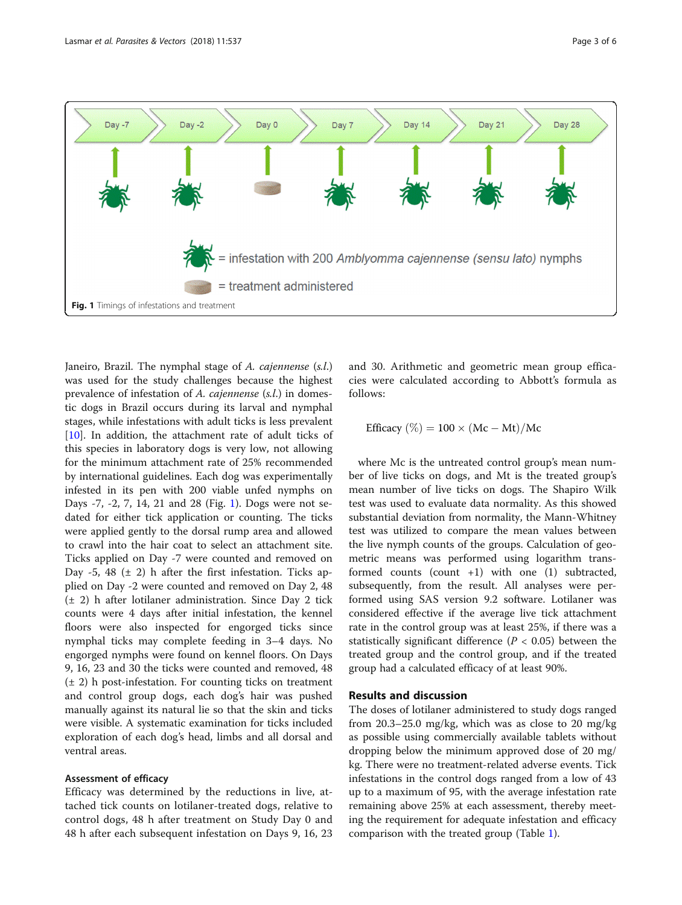<span id="page-2-0"></span>

Janeiro, Brazil. The nymphal stage of A. cajennense (s.l.) was used for the study challenges because the highest prevalence of infestation of A. cajennense (s.l.) in domestic dogs in Brazil occurs during its larval and nymphal stages, while infestations with adult ticks is less prevalent [[10\]](#page-4-0). In addition, the attachment rate of adult ticks of this species in laboratory dogs is very low, not allowing for the minimum attachment rate of 25% recommended by international guidelines. Each dog was experimentally infested in its pen with 200 viable unfed nymphs on Days -7, -2, 7, 14, 21 and 28 (Fig. 1). Dogs were not sedated for either tick application or counting. The ticks were applied gently to the dorsal rump area and allowed to crawl into the hair coat to select an attachment site. Ticks applied on Day -7 were counted and removed on Day -5, 48  $(\pm 2)$  h after the first infestation. Ticks applied on Day -2 were counted and removed on Day 2, 48 (± 2) h after lotilaner administration. Since Day 2 tick counts were 4 days after initial infestation, the kennel floors were also inspected for engorged ticks since nymphal ticks may complete feeding in 3–4 days. No engorged nymphs were found on kennel floors. On Days 9, 16, 23 and 30 the ticks were counted and removed, 48 (± 2) h post-infestation. For counting ticks on treatment and control group dogs, each dog's hair was pushed manually against its natural lie so that the skin and ticks were visible. A systematic examination for ticks included exploration of each dog's head, limbs and all dorsal and ventral areas.

## Assessment of efficacy

Efficacy was determined by the reductions in live, attached tick counts on lotilaner-treated dogs, relative to control dogs, 48 h after treatment on Study Day 0 and 48 h after each subsequent infestation on Days 9, 16, 23 and 30. Arithmetic and geometric mean group efficacies were calculated according to Abbott's formula as follows:

Efficacy 
$$
(\%) = 100 \times (Mc - Mt)/Mc
$$

where Mc is the untreated control group's mean number of live ticks on dogs, and Mt is the treated group's mean number of live ticks on dogs. The Shapiro Wilk test was used to evaluate data normality. As this showed substantial deviation from normality, the Mann-Whitney test was utilized to compare the mean values between the live nymph counts of the groups. Calculation of geometric means was performed using logarithm transformed counts (count  $+1$ ) with one (1) subtracted, subsequently, from the result. All analyses were performed using SAS version 9.2 software. Lotilaner was considered effective if the average live tick attachment rate in the control group was at least 25%, if there was a statistically significant difference ( $P < 0.05$ ) between the treated group and the control group, and if the treated group had a calculated efficacy of at least 90%.

## Results and discussion

The doses of lotilaner administered to study dogs ranged from 20.3–25.0 mg/kg, which was as close to 20 mg/kg as possible using commercially available tablets without dropping below the minimum approved dose of 20 mg/ kg. There were no treatment-related adverse events. Tick infestations in the control dogs ranged from a low of 43 up to a maximum of 95, with the average infestation rate remaining above 25% at each assessment, thereby meeting the requirement for adequate infestation and efficacy comparison with the treated group (Table [1\)](#page-3-0).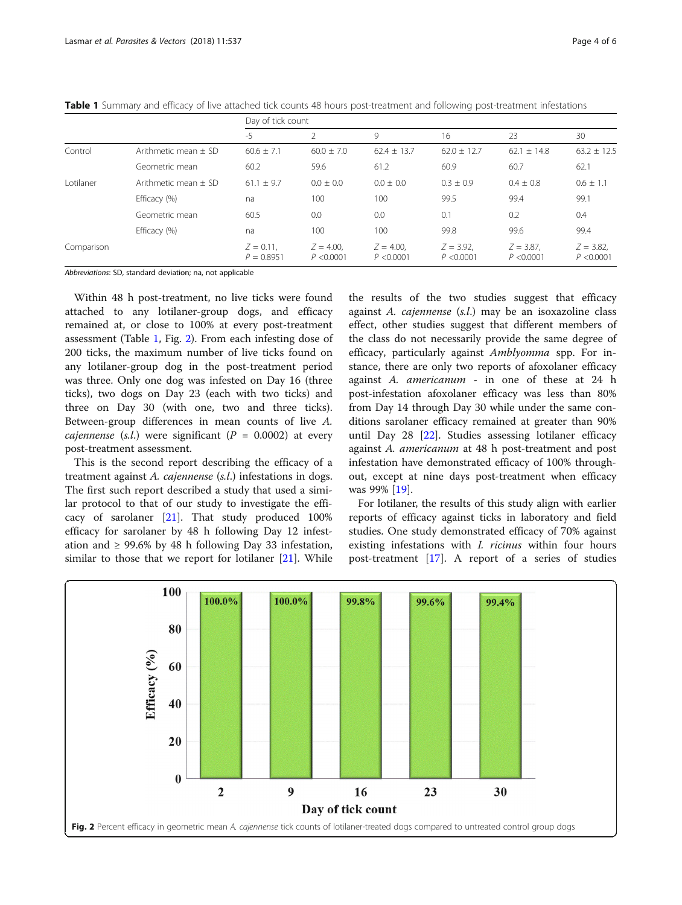|            |                        | Day of tick count            |                            |                            |                            |                            |                          |
|------------|------------------------|------------------------------|----------------------------|----------------------------|----------------------------|----------------------------|--------------------------|
|            |                        | $-5$                         |                            | 9                          | 16                         | 23                         | 30                       |
| Control    | Arithmetic mean $+$ SD | $60.6 \pm 7.1$               | $60.0 \pm 7.0$             | $62.4 \pm 13.7$            | $62.0 \pm 12.7$            | $62.1 \pm 14.8$            | $63.2 \pm 12.5$          |
|            | Geometric mean         | 60.2                         | 59.6                       | 61.2                       | 60.9                       | 60.7                       | 62.1                     |
| Lotilaner  | Arithmetic mean $+$ SD | $61.1 \pm 9.7$               | $0.0 \pm 0.0$              | $0.0 \pm 0.0$              | $0.3 + 0.9$                | $0.4 \pm 0.8$              | $0.6 \pm 1.1$            |
|            | Efficacy (%)           | na                           | 100                        | 100                        | 99.5                       | 99.4                       | 99.1                     |
|            | Geometric mean         | 60.5                         | 0.0                        | 0.0                        | 0.1                        | 0.2                        | 0.4                      |
|            | Efficacy (%)           | na                           | 100                        | 100                        | 99.8                       | 99.6                       | 99.4                     |
| Comparison |                        | $Z = 0.11$ .<br>$P = 0.8951$ | $Z = 4.00$ .<br>P < 0.0001 | $Z = 4.00$ .<br>P < 0.0001 | $Z = 3.92$ ,<br>P < 0.0001 | $Z = 3.87$ .<br>P < 0.0001 | $Z = 3.82$<br>P < 0.0001 |

<span id="page-3-0"></span>Table 1 Summary and efficacy of live attached tick counts 48 hours post-treatment and following post-treatment infestations

Abbreviations: SD, standard deviation; na, not applicable

Within 48 h post-treatment, no live ticks were found attached to any lotilaner-group dogs, and efficacy remained at, or close to 100% at every post-treatment assessment (Table 1, Fig. 2). From each infesting dose of 200 ticks, the maximum number of live ticks found on any lotilaner-group dog in the post-treatment period was three. Only one dog was infested on Day 16 (three ticks), two dogs on Day 23 (each with two ticks) and three on Day 30 (with one, two and three ticks). Between-group differences in mean counts of live A. *cajennense* (*s.l.*) were significant ( $P = 0.0002$ ) at every post-treatment assessment.

This is the second report describing the efficacy of a treatment against A. cajennense (s.l.) infestations in dogs. The first such report described a study that used a similar protocol to that of our study to investigate the efficacy of sarolaner [[21\]](#page-5-0). That study produced 100% efficacy for sarolaner by 48 h following Day 12 infestation and  $\geq$  99.6% by 48 h following Day 33 infestation, similar to those that we report for lotilaner [[21\]](#page-5-0). While

the results of the two studies suggest that efficacy against A. cajennense (s.l.) may be an isoxazoline class effect, other studies suggest that different members of the class do not necessarily provide the same degree of efficacy, particularly against Amblyomma spp. For instance, there are only two reports of afoxolaner efficacy against A. americanum - in one of these at 24 h post-infestation afoxolaner efficacy was less than 80% from Day 14 through Day 30 while under the same conditions sarolaner efficacy remained at greater than 90% until Day 28 [\[22\]](#page-5-0). Studies assessing lotilaner efficacy against A. americanum at 48 h post-treatment and post infestation have demonstrated efficacy of 100% throughout, except at nine days post-treatment when efficacy was 99% [[19](#page-5-0)].

For lotilaner, the results of this study align with earlier reports of efficacy against ticks in laboratory and field studies. One study demonstrated efficacy of 70% against existing infestations with *I. ricinus* within four hours post-treatment [[17\]](#page-5-0). A report of a series of studies

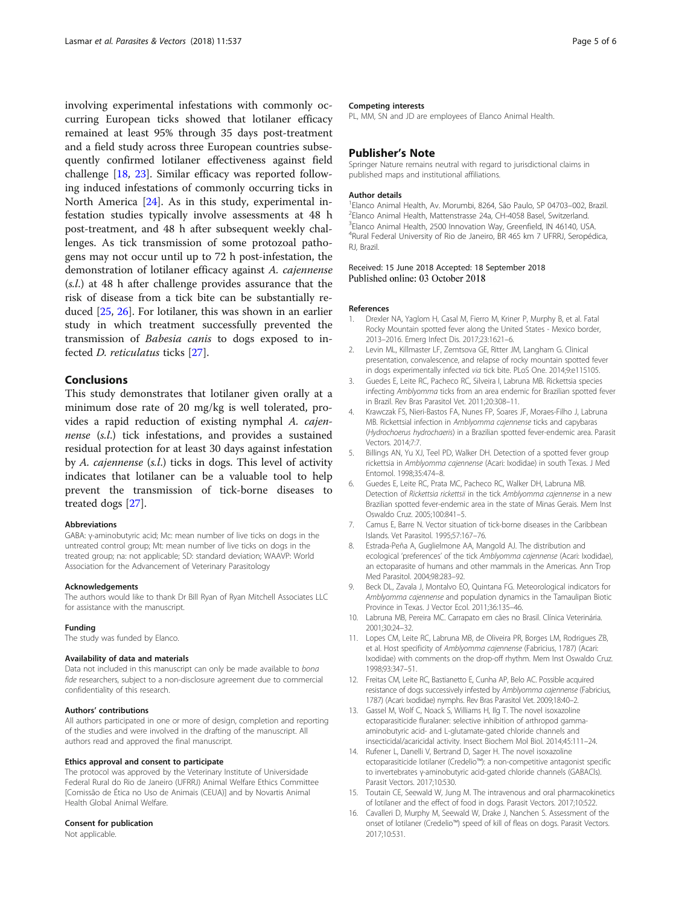<span id="page-4-0"></span>involving experimental infestations with commonly occurring European ticks showed that lotilaner efficacy remained at least 95% through 35 days post-treatment and a field study across three European countries subsequently confirmed lotilaner effectiveness against field challenge [[18,](#page-5-0) [23\]](#page-5-0). Similar efficacy was reported following induced infestations of commonly occurring ticks in North America [[24](#page-5-0)]. As in this study, experimental infestation studies typically involve assessments at 48 h post-treatment, and 48 h after subsequent weekly challenges. As tick transmission of some protozoal pathogens may not occur until up to 72 h post-infestation, the demonstration of lotilaner efficacy against A. cajennense (s.l.) at 48 h after challenge provides assurance that the risk of disease from a tick bite can be substantially reduced [\[25](#page-5-0), [26](#page-5-0)]. For lotilaner, this was shown in an earlier study in which treatment successfully prevented the transmission of Babesia canis to dogs exposed to infected D. reticulatus ticks [\[27](#page-5-0)].

## Conclusions

This study demonstrates that lotilaner given orally at a minimum dose rate of 20 mg/kg is well tolerated, provides a rapid reduction of existing nymphal A. cajennense (s.l.) tick infestations, and provides a sustained residual protection for at least 30 days against infestation by A. cajennense (s.l.) ticks in dogs. This level of activity indicates that lotilaner can be a valuable tool to help prevent the transmission of tick-borne diseases to treated dogs [[27\]](#page-5-0).

#### Abbreviations

GABA: γ-aminobutyric acid; Mc: mean number of live ticks on dogs in the untreated control group; Mt: mean number of live ticks on dogs in the treated group; na: not applicable; SD: standard deviation; WAAVP: World Association for the Advancement of Veterinary Parasitology

#### Acknowledgements

The authors would like to thank Dr Bill Ryan of Ryan Mitchell Associates LLC for assistance with the manuscript.

#### Funding

The study was funded by Elanco.

### Availability of data and materials

Data not included in this manuscript can only be made available to bona fide researchers, subject to a non-disclosure agreement due to commercial confidentiality of this research.

#### Authors' contributions

All authors participated in one or more of design, completion and reporting of the studies and were involved in the drafting of the manuscript. All authors read and approved the final manuscript.

#### Ethics approval and consent to participate

The protocol was approved by the Veterinary Institute of Universidade Federal Rural do Rio de Janeiro (UFRRJ) Animal Welfare Ethics Committee [Comissão de Ética no Uso de Animais (CEUA)] and by Novartis Animal Health Global Animal Welfare.

## Consent for publication

Not applicable.

#### Competing interests

PL, MM, SN and JD are employees of Elanco Animal Health.

#### Publisher's Note

Springer Nature remains neutral with regard to jurisdictional claims in published maps and institutional affiliations.

#### Author details

<sup>1</sup> Elanco Animal Health, Av. Morumbi, 8264, São Paulo, SP 04703-002, Brazil.<br><sup>2</sup> Elanco Animal Health, Mattenstrasse 24a, CH-4058 Basel, Switzerland. <sup>2</sup>Elanco Animal Health, Mattenstrasse 24a, CH-4058 Basel, Switzerland. <sup>3</sup> Elanco Animal Health, 2500 Innovation Way, Greenfield, IN 46140, USA 4 Rural Federal University of Rio de Janeiro, BR 465 km 7 UFRRJ, Seropédica, RJ, Brazil.

Received: 15 June 2018 Accepted: 18 September 2018 Published online: 03 October 2018

#### References

- Drexler NA, Yaglom H, Casal M, Fierro M, Kriner P, Murphy B, et al. Fatal Rocky Mountain spotted fever along the United States - Mexico border, 2013–2016. Emerg Infect Dis. 2017;23:1621–6.
- 2. Levin ML, Killmaster LF, Zemtsova GE, Ritter JM, Langham G. Clinical presentation, convalescence, and relapse of rocky mountain spotted fever in dogs experimentally infected via tick bite. PLoS One. 2014;9:e115105.
- 3. Guedes E, Leite RC, Pacheco RC, Silveira I, Labruna MB. Rickettsia species infecting Amblyomma ticks from an area endemic for Brazilian spotted fever in Brazil. Rev Bras Parasitol Vet. 2011;20:308–11.
- 4. Krawczak FS, Nieri-Bastos FA, Nunes FP, Soares JF, Moraes-Filho J, Labruna MB. Rickettsial infection in Amblyomma cajennense ticks and capybaras (Hydrochoerus hydrochaeris) in a Brazilian spotted fever-endemic area. Parasit Vectors. 2014;7:7.
- 5. Billings AN, Yu XJ, Teel PD, Walker DH. Detection of a spotted fever group rickettsia in Amblyomma cajennense (Acari: Ixodidae) in south Texas. J Med Entomol. 1998;35:474–8.
- 6. Guedes E, Leite RC, Prata MC, Pacheco RC, Walker DH, Labruna MB. Detection of Rickettsia rickettsii in the tick Amblyomma cajennense in a new Brazilian spotted fever-endemic area in the state of Minas Gerais. Mem Inst Oswaldo Cruz. 2005;100:841–5.
- 7. Camus E, Barre N. Vector situation of tick-borne diseases in the Caribbean Islands. Vet Parasitol. 1995;57:167–76.
- 8. Estrada-Peña A, Guglielmone AA, Mangold AJ. The distribution and ecological 'preferences' of the tick Amblyomma cajennense (Acari: Ixodidae), an ectoparasite of humans and other mammals in the Americas. Ann Trop Med Parasitol. 2004;98:283–92.
- 9. Beck DL, Zavala J, Montalvo EO, Quintana FG. Meteorological indicators for Amblyomma cajennense and population dynamics in the Tamaulipan Biotic Province in Texas. J Vector Ecol. 2011;36:135–46.
- 10. Labruna MB, Pereira MC. Carrapato em cães no Brasil. Clínica Veterinária. 2001;30:24–32.
- 11. Lopes CM, Leite RC, Labruna MB, de Oliveira PR, Borges LM, Rodrigues ZB, et al. Host specificity of Amblyomma cajennense (Fabricius, 1787) (Acari: Ixodidae) with comments on the drop-off rhythm. Mem Inst Oswaldo Cruz. 1998;93:347–51.
- 12. Freitas CM, Leite RC, Bastianetto E, Cunha AP, Belo AC. Possible acquired resistance of dogs successively infested by Amblyomma cajennense (Fabricius, 1787) (Acari: Ixodidae) nymphs. Rev Bras Parasitol Vet. 2009;18:40–2.
- 13. Gassel M, Wolf C, Noack S, Williams H, Ilg T. The novel isoxazoline ectoparasiticide fluralaner: selective inhibition of arthropod gammaaminobutyric acid- and L-glutamate-gated chloride channels and insecticidal/acaricidal activity. Insect Biochem Mol Biol. 2014;45:111–24.
- 14. Rufener L, Danelli V, Bertrand D, Sager H. The novel isoxazoline ectoparasiticide lotilaner (Credelio™): a non-competitive antagonist specific to invertebrates γ-aminobutyric acid-gated chloride channels (GABACls). Parasit Vectors. 2017;10:530.
- 15. Toutain CE, Seewald W, Jung M. The intravenous and oral pharmacokinetics of lotilaner and the effect of food in dogs. Parasit Vectors. 2017;10:522.
- 16. Cavalleri D, Murphy M, Seewald W, Drake J, Nanchen S. Assessment of the onset of lotilaner (Credelio™) speed of kill of fleas on dogs. Parasit Vectors. 2017;10:531.